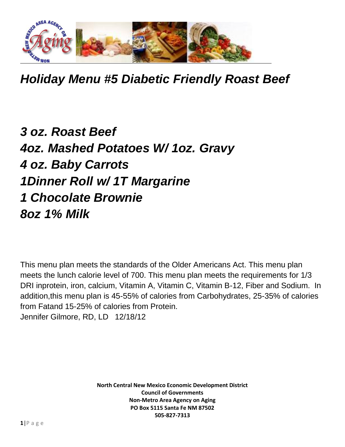

*Holiday Menu #5 Diabetic Friendly Roast Beef*

## *3 oz. Roast Beef 4oz. Mashed Potatoes W/ 1oz. Gravy 4 oz. Baby Carrots 1Dinner Roll w/ 1T Margarine 1 Chocolate Brownie 8oz 1% Milk*

This menu plan meets the standards of the Older Americans Act. This menu plan meets the lunch calorie level of 700. This menu plan meets the requirements for 1/3 DRI inprotein, iron, calcium, Vitamin A, Vitamin C, Vitamin B-12, Fiber and Sodium. In addition,this menu plan is 45-55% of calories from Carbohydrates, 25-35% of calories from Fatand 15-25% of calories from Protein. Jennifer Gilmore, RD, LD 12/18/12

> **North Central New Mexico Economic Development District Council of Governments Non-Metro Area Agency on Aging PO Box 5115 Santa Fe NM 87502 505-827-7313**